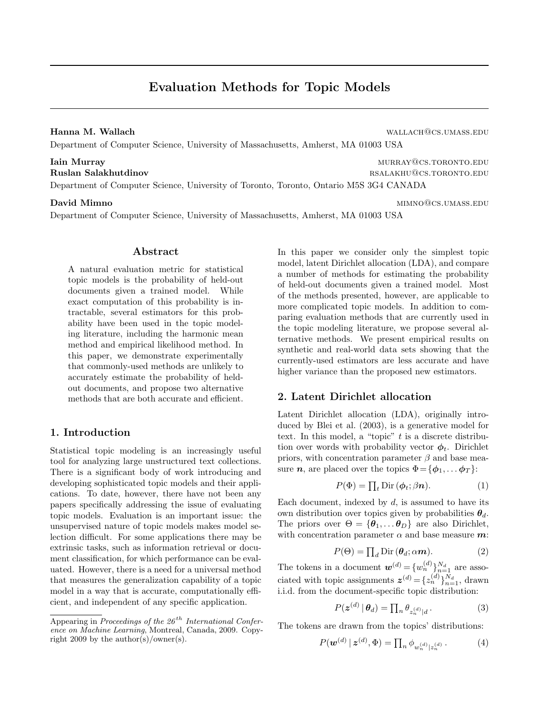# Evaluation Methods for Topic Models

Hanna M. Wallach wallach@cs.umass.edu

Department of Computer Science, University of Massachusetts, Amherst, MA 01003 USA

# **Iain Murray murray murray murray murray** murray murray murray murray murray murray murray murray murray murray murray murray murray murray murray murray murray murray murray murray murray murray murray murray murray murra Ruslan Salakhutdinov **RUSLAN AND REAL AND REAL AND REAL AND REAL AND REAL AND REAL AND REAL AND REAL AND REAL AND REAL AND REAL AND REAL AND REAL AND REAL AND REAL AND REAL AND REAL AND REAL AND REAL AND REAL AND REAL AND**

Department of Computer Science, University of Toronto, Toronto, Ontario M5S 3G4 CANADA

Department of Computer Science, University of Massachusetts, Amherst, MA 01003 USA

# Abstract

A natural evaluation metric for statistical topic models is the probability of held-out documents given a trained model. While exact computation of this probability is intractable, several estimators for this probability have been used in the topic modeling literature, including the harmonic mean method and empirical likelihood method. In this paper, we demonstrate experimentally that commonly-used methods are unlikely to accurately estimate the probability of heldout documents, and propose two alternative methods that are both accurate and efficient.

# 1. Introduction

Statistical topic modeling is an increasingly useful tool for analyzing large unstructured text collections. There is a significant body of work introducing and developing sophisticated topic models and their applications. To date, however, there have not been any papers specifically addressing the issue of evaluating topic models. Evaluation is an important issue: the unsupervised nature of topic models makes model selection difficult. For some applications there may be extrinsic tasks, such as information retrieval or document classification, for which performance can be evaluated. However, there is a need for a universal method that measures the generalization capability of a topic model in a way that is accurate, computationally efficient, and independent of any specific application.

In this paper we consider only the simplest topic model, latent Dirichlet allocation (LDA), and compare a number of methods for estimating the probability of held-out documents given a trained model. Most of the methods presented, however, are applicable to more complicated topic models. In addition to comparing evaluation methods that are currently used in the topic modeling literature, we propose several alternative methods. We present empirical results on synthetic and real-world data sets showing that the currently-used estimators are less accurate and have higher variance than the proposed new estimators.

# 2. Latent Dirichlet allocation

Latent Dirichlet allocation (LDA), originally introduced by Blei et al. (2003), is a generative model for text. In this model, a "topic"  $t$  is a discrete distribution over words with probability vector  $\phi_t$ . Dirichlet priors, with concentration parameter  $\beta$  and base measure *n*, are placed over the topics  $\Phi = {\phi_1, \dots \phi_T}$ :

$$
P(\Phi) = \prod_{t} \text{Dir}(\phi_t; \beta \mathbf{n}).\tag{1}
$$

Each document, indexed by  $d$ , is assumed to have its own distribution over topics given by probabilities  $\theta_d$ . The priors over  $\Theta = {\theta_1, \dots, \theta_D}$  are also Dirichlet, with concentration parameter  $\alpha$  and base measure  $m$ :

$$
P(\Theta) = \prod_{d} \text{Dir}(\boldsymbol{\theta}_{d}; \alpha \boldsymbol{m}).
$$
 (2)

The tokens in a document  $\mathbf{w}^{(d)} = \{w_n^{(d)}\}_{n=1}^{N_d}$  are associated with topic assignments  $\boldsymbol{z}^{(d)} = \{z_n^{(d)}\}_{n=1}^{N_d}$ , drawn i.i.d. from the document-specific topic distribution:

$$
P(\boldsymbol{z}^{(d)} | \boldsymbol{\theta}_d) = \prod_n \theta_{z_n^{(d)} | d}.
$$
 (3)

The tokens are drawn from the topics' distributions:

$$
P(\boldsymbol{w}^{(d)} \mid \boldsymbol{z}^{(d)}, \boldsymbol{\Phi}) = \prod_{n} \phi_{w_n^{(d)} \mid z_n^{(d)}}.
$$
 (4)

**David Mimno** mimimal mimimal mimimal mimimal mimimal mimimal mimimal mimimal mimimal mimimal mimimal mimimal mi

Appearing in Proceedings of the  $26<sup>th</sup> International Confer$ ence on Machine Learning, Montreal, Canada, 2009. Copyright 2009 by the author(s)/owner(s).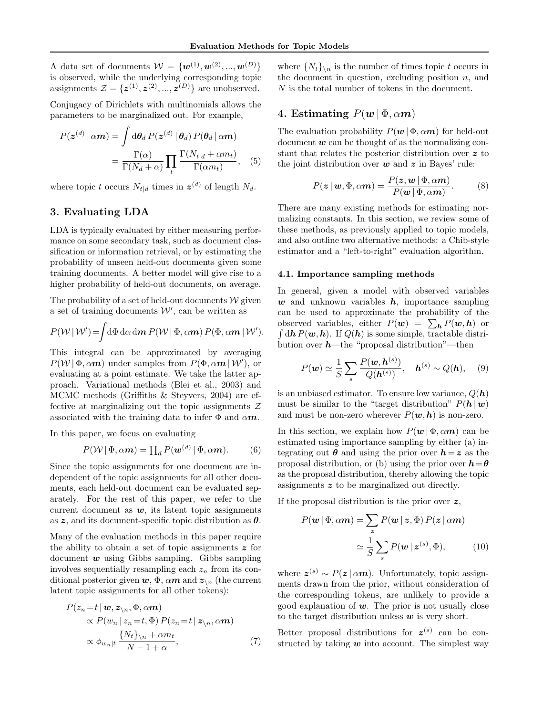A data set of documents  $W = \{w^{(1)}, w^{(2)}, ..., w^{(D)}\}$ is observed, while the underlying corresponding topic assignments  $\mathcal{Z} = \{z^{(1)}, z^{(2)}, ..., z^{(D)}\}$  are unobserved.

Conjugacy of Dirichlets with multinomials allows the parameters to be marginalized out. For example,

$$
P(\mathbf{z}^{(d)} | \alpha \mathbf{m}) = \int d\theta_d P(\mathbf{z}^{(d)} | \theta_d) P(\theta_d | \alpha \mathbf{m})
$$
  
= 
$$
\frac{\Gamma(\alpha)}{\Gamma(N_d + \alpha)} \prod_t \frac{\Gamma(N_{t|d} + \alpha m_t)}{\Gamma(\alpha m_t)}, \quad (5)
$$

where topic t occurs  $N_{t|d}$  times in  $\boldsymbol{z}^{(d)}$  of length  $N_d$ .

# 3. Evaluating LDA

LDA is typically evaluated by either measuring performance on some secondary task, such as document classification or information retrieval, or by estimating the probability of unseen held-out documents given some training documents. A better model will give rise to a higher probability of held-out documents, on average.

The probability of a set of held-out documents  $W$  given a set of training documents  $W'$ , can be written as

$$
P(\mathcal{W} | \mathcal{W}') = \int d\Phi \, d\alpha \, dm \, P(\mathcal{W} | \Phi, \alpha m) \, P(\Phi, \alpha m \, | \, \mathcal{W}').
$$

This integral can be approximated by averaging  $P(\mathcal{W} | \Phi, \alpha m)$  under samples from  $P(\Phi, \alpha m | \mathcal{W}')$ , or evaluating at a point estimate. We take the latter approach. Variational methods (Blei et al., 2003) and MCMC methods (Griffiths & Steyvers, 2004) are effective at marginalizing out the topic assignments  $\mathcal Z$ associated with the training data to infer  $\Phi$  and  $\alpha m$ .

In this paper, we focus on evaluating

$$
P(\mathcal{W} | \Phi, \alpha \mathbf{m}) = \prod_{d} P(\mathbf{w}^{(d)} | \Phi, \alpha \mathbf{m}).
$$
 (6)

Since the topic assignments for one document are independent of the topic assignments for all other documents, each held-out document can be evaluated separately. For the rest of this paper, we refer to the current document as  $w$ , its latent topic assignments as z, and its document-specific topic distribution as  $\theta$ .

Many of the evaluation methods in this paper require the ability to obtain a set of topic assignments  $z$  for document  $w$  using Gibbs sampling. Gibbs sampling involves sequentially resampling each  $z_n$  from its conditional posterior given  $w, \Phi, \alpha m$  and  $z_{\n}$  (the current latent topic assignments for all other tokens):

$$
P(z_n = t | \mathbf{w}, \mathbf{z}_{\backslash n}, \Phi, \alpha \mathbf{m})
$$
  
\n
$$
\propto P(w_n | z_n = t, \Phi) P(z_n = t | \mathbf{z}_{\backslash n}, \alpha \mathbf{m})
$$
  
\n
$$
\propto \phi_{w_n | t} \frac{\{N_t\}_{\backslash n} + \alpha m_t}{N - 1 + \alpha},
$$
\n(7)

where  $\{N_t\}_{n \in \mathbb{N}}$  is the number of times topic t occurs in the document in question, excluding position  $n$ , and N is the total number of tokens in the document.

# 4. Estimating  $P(w | \Phi, \alpha m)$

The evaluation probability  $P(\mathbf{w} | \Phi, \alpha \mathbf{m})$  for held-out document  $\boldsymbol{w}$  can be thought of as the normalizing constant that relates the posterior distribution over z to the joint distribution over  $w$  and  $z$  in Bayes' rule:

$$
P(z | w, \Phi, \alpha m) = \frac{P(z, w | \Phi, \alpha m)}{P(w | \Phi, \alpha m)}.
$$
 (8)

There are many existing methods for estimating normalizing constants. In this section, we review some of these methods, as previously applied to topic models, and also outline two alternative methods: a Chib-style estimator and a "left-to-right" evaluation algorithm.

#### 4.1. Importance sampling methods

In general, given a model with observed variables  $w$  and unknown variables  $h$ , importance sampling can be used to approximate the probability of the observed variables, either  $P(w) = \sum_{h} P(w, h)$  or  $\int d\mathbf{h} P(\mathbf{w}, \mathbf{h})$ . If  $Q(\mathbf{h})$  is some simple, tractable distribution over  $h$ —the "proposal distribution"—then

$$
P(\mathbf{w}) \simeq \frac{1}{S} \sum_{s} \frac{P(\mathbf{w}, \mathbf{h}^{(s)})}{Q(\mathbf{h}^{(s)})}, \quad \mathbf{h}^{(s)} \sim Q(\mathbf{h}), \quad (9)
$$

is an unbiased estimator. To ensure low variance,  $Q(h)$ must be similar to the "target distribution"  $P(h | w)$ and must be non-zero wherever  $P(w, h)$  is non-zero.

In this section, we explain how  $P(\mathbf{w} | \Phi, \alpha \mathbf{m})$  can be estimated using importance sampling by either (a) integrating out  $\theta$  and using the prior over  $h = z$  as the proposal distribution, or (b) using the prior over  $h = \theta$ as the proposal distribution, thereby allowing the topic assignments z to be marginalized out directly.

If the proposal distribution is the prior over  $z$ ,

$$
P(\mathbf{w} | \Phi, \alpha \mathbf{m}) = \sum_{\mathbf{z}} P(\mathbf{w} | \mathbf{z}, \Phi) P(\mathbf{z} | \alpha \mathbf{m})
$$

$$
\simeq \frac{1}{S} \sum_{s} P(\mathbf{w} | \mathbf{z}^{(s)}, \Phi), \tag{10}
$$

where  $z^{(s)} \sim P(z \mid \alpha m)$ . Unfortunately, topic assignments drawn from the prior, without consideration of the corresponding tokens, are unlikely to provide a good explanation of  $w$ . The prior is not usually close to the target distribution unless  $w$  is very short.

Better proposal distributions for  $z^{(s)}$  can be constructed by taking  $w$  into account. The simplest way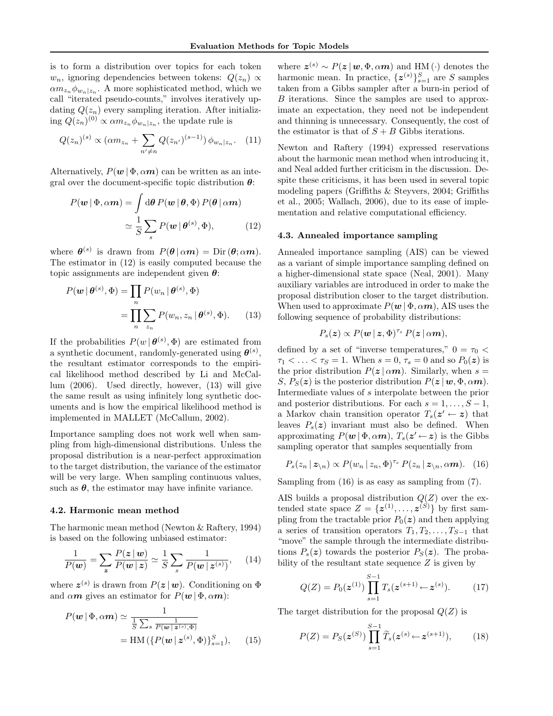is to form a distribution over topics for each token  $w_n$ , ignoring dependencies between tokens:  $Q(z_n) \propto$  $\alpha m_{z_n} \phi_{w_n|z_n}$ . A more sophisticated method, which we call "iterated pseudo-counts," involves iteratively updating  $Q(z_n)$  every sampling iteration. After initializing  $Q(z_n)^{(0)} \propto \alpha m_{z_n} \phi_{w_n|z_n}$ , the update rule is

$$
Q(z_n)^{(s)} \propto (\alpha m_{z_n} + \sum_{n' \neq n} Q(z_{n'})^{(s-1)}) \phi_{w_n|z_n}.
$$
 (11)

Alternatively,  $P(w | \Phi, \alpha m)$  can be written as an integral over the document-specific topic distribution  $\theta$ :

$$
P(\mathbf{w} | \Phi, \alpha \mathbf{m}) = \int d\theta P(\mathbf{w} | \theta, \Phi) P(\theta | \alpha \mathbf{m})
$$

$$
\simeq \frac{1}{S} \sum_{s} P(\mathbf{w} | \theta^{(s)}, \Phi), \tag{12}
$$

where  $\boldsymbol{\theta}^{(s)}$  is drawn from  $P(\boldsymbol{\theta} | \alpha \boldsymbol{m}) = \text{Dir}(\boldsymbol{\theta}; \alpha \boldsymbol{m}).$ The estimator in (12) is easily computed because the topic assignments are independent given  $\theta$ :

$$
P(\mathbf{w} | \boldsymbol{\theta}^{(s)}, \boldsymbol{\Phi}) = \prod_{n} P(w_n | \boldsymbol{\theta}^{(s)}, \boldsymbol{\Phi})
$$

$$
= \prod_{n} \sum_{z_n} P(w_n, z_n | \boldsymbol{\theta}^{(s)}, \boldsymbol{\Phi}). \qquad (13)
$$

If the probabilities  $P(w | \theta^{(s)}, \Phi)$  are estimated from a synthetic document, randomly-generated using  $\theta^{(s)}$ , the resultant estimator corresponds to the empirical likelihood method described by Li and McCallum (2006). Used directly, however, (13) will give the same result as using infinitely long synthetic documents and is how the empirical likelihood method is implemented in MALLET (McCallum, 2002).

Importance sampling does not work well when sampling from high-dimensional distributions. Unless the proposal distribution is a near-perfect approximation to the target distribution, the variance of the estimator will be very large. When sampling continuous values, such as  $\theta$ , the estimator may have infinite variance.

#### 4.2. Harmonic mean method

The harmonic mean method (Newton & Raftery, 1994) is based on the following unbiased estimator:

$$
\frac{1}{P(\boldsymbol{w})} = \sum_{\boldsymbol{z}} \frac{P(\boldsymbol{z} \mid \boldsymbol{w})}{P(\boldsymbol{w} \mid \boldsymbol{z})} \simeq \frac{1}{S} \sum_{s} \frac{1}{P(\boldsymbol{w} \mid \boldsymbol{z}^{(s)})},\qquad(14)
$$

where  $z^{(s)}$  is drawn from  $P(z | w)$ . Conditioning on  $\Phi$ and  $\alpha m$  gives an estimator for  $P(\boldsymbol{w} | \boldsymbol{\Phi}, \alpha m)$ :

$$
P(\mathbf{w} | \Phi, \alpha \mathbf{m}) \simeq \frac{1}{\frac{1}{S} \sum_{s} \frac{1}{P(\mathbf{w} | \mathbf{z}^{(s)}, \Phi)}} = \text{HM}\left(\left\{P(\mathbf{w} | \mathbf{z}^{(s)}, \Phi)\right\}_{s=1}^{S}\right), \quad (15)
$$

where  $\boldsymbol{z}^{(s)} \sim P(\boldsymbol{z} | \boldsymbol{w}, \boldsymbol{\Phi}, \alpha \boldsymbol{m})$  and HM $(\cdot)$  denotes the harmonic mean. In practice,  $\{z^{(s)}\}_{s=1}^S$  are S samples taken from a Gibbs sampler after a burn-in period of B iterations. Since the samples are used to approximate an expectation, they need not be independent and thinning is unnecessary. Consequently, the cost of the estimator is that of  $S + B$  Gibbs iterations.

Newton and Raftery (1994) expressed reservations about the harmonic mean method when introducing it, and Neal added further criticism in the discussion. Despite these criticisms, it has been used in several topic modeling papers (Griffiths & Steyvers, 2004; Griffiths et al., 2005; Wallach, 2006), due to its ease of implementation and relative computational efficiency.

#### 4.3. Annealed importance sampling

Annealed importance sampling (AIS) can be viewed as a variant of simple importance sampling defined on a higher-dimensional state space (Neal, 2001). Many auxiliary variables are introduced in order to make the proposal distribution closer to the target distribution. When used to approximate  $P(\mathbf{w} | \Phi, \alpha \mathbf{m})$ , AIS uses the following sequence of probability distributions:

$$
P_s(\boldsymbol{z}) \propto P(\boldsymbol{w} \,|\, \boldsymbol{z}, \boldsymbol{\Phi})^{\tau_s} \, P(\boldsymbol{z} \,|\, \alpha \boldsymbol{m}),
$$

defined by a set of "inverse temperatures,"  $0$  =  $\tau_0$   $<$  $\tau_1 < \ldots < \tau_S = 1$ . When  $s = 0$ ,  $\tau_s = 0$  and so  $P_0(z)$  is the prior distribution  $P(z | \alpha m)$ . Similarly, when  $s =$ S,  $P_S(z)$  is the posterior distribution  $P(z | w, \Phi, \alpha m)$ . Intermediate values of s interpolate between the prior and posterior distributions. For each  $s = 1, \ldots, S - 1$ , a Markov chain transition operator  $T_s(z' \leftarrow z)$  that leaves  $P_s(z)$  invariant must also be defined. When approximating  $P(\boldsymbol{w} | \Phi, \alpha \boldsymbol{m})$ ,  $T_s(\boldsymbol{z}' \leftarrow \boldsymbol{z})$  is the Gibbs sampling operator that samples sequentially from

$$
P_s(z_n | \mathbf{z}_{\setminus n}) \propto P(w_n | z_n, \Phi)^{\tau_s} P(z_n | \mathbf{z}_{\setminus n}, \alpha \mathbf{m}). \tag{16}
$$

Sampling from (16) is as easy as sampling from (7).

AIS builds a proposal distribution  $Q(Z)$  over the extended state space  $Z = \{z^{(1)}, \ldots, z^{(S)}\}$  by first sampling from the tractable prior  $P_0(z)$  and then applying a series of transition operators  $T_1, T_2, \ldots, T_{S-1}$  that "move" the sample through the intermediate distributions  $P_s(z)$  towards the posterior  $P_S(z)$ . The probability of the resultant state sequence  $Z$  is given by

$$
Q(Z) = P_0(\mathbf{z}^{(1)}) \prod_{s=1}^{S-1} T_s(\mathbf{z}^{(s+1)} \leftarrow \mathbf{z}^{(s)}).
$$
 (17)

The target distribution for the proposal  $Q(Z)$  is

$$
P(Z) = P_S(\boldsymbol{z}^{(S)}) \prod_{s=1}^{S-1} \widetilde{T}_s(\boldsymbol{z}^{(s)} \leftarrow \boldsymbol{z}^{(s+1)}), \qquad (18)
$$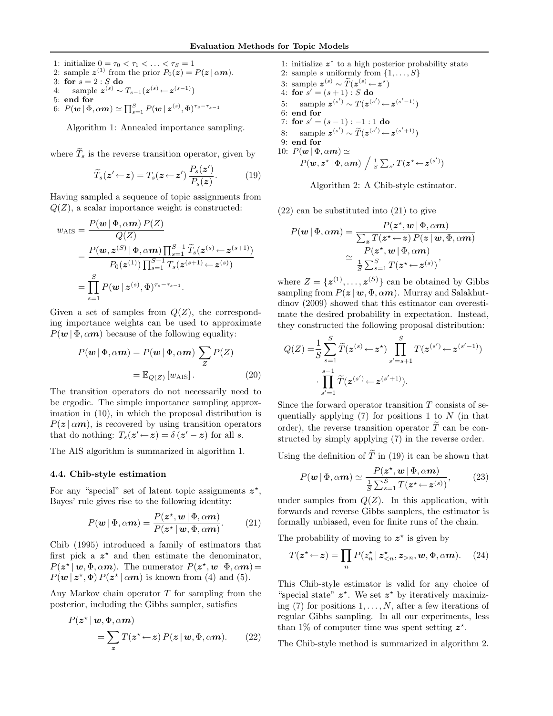1: initialize  $0 = \tau_0 < \tau_1 < \ldots < \tau_S = 1$ 2: sample  $z^{(1)}$  from the prior  $P_0(z) = P(z \mid \alpha m)$ . 3: for  $s = 2 : S$  do 4: sample  $z^{(s)} \sim T_{s-1}(z^{(s)} \leftarrow z^{(s-1)})$ 5: end for 6:  $P(\boldsymbol{w} \mid \Phi, \alpha \boldsymbol{m}) \simeq \prod_{s=1}^S P(\boldsymbol{w} \mid \boldsymbol{z}^{(s)}, \Phi)^{\tau_s - \tau_{s-1}}$ 

Algorithm 1: Annealed importance sampling.

where  $\widetilde{T}_s$  is the reverse transition operator, given by

$$
\widetilde{T}_s(\boldsymbol{z}' \leftarrow \boldsymbol{z}) = T_s(\boldsymbol{z} \leftarrow \boldsymbol{z}') \frac{P_s(\boldsymbol{z}')}{P_s(\boldsymbol{z})}. \tag{19}
$$

Having sampled a sequence of topic assignments from  $Q(Z)$ , a scalar importance weight is constructed:

$$
w_{\text{AIS}} = \frac{P(\boldsymbol{w} | \Phi, \alpha \boldsymbol{m}) P(Z)}{Q(Z)}
$$
  
= 
$$
\frac{P(\boldsymbol{w}, \boldsymbol{z}^{(S)} | \Phi, \alpha \boldsymbol{m}) \prod_{s=1}^{S-1} \widetilde{T}_s(\boldsymbol{z}^{(s)} \leftarrow \boldsymbol{z}^{(s+1)})}{P_0(\boldsymbol{z}^{(1)}) \prod_{s=1}^{S-1} T_s(\boldsymbol{z}^{(s+1)} \leftarrow \boldsymbol{z}^{(s)})}
$$
  
= 
$$
\prod_{s=1}^{S} P(\boldsymbol{w} | \boldsymbol{z}^{(s)}, \Phi)^{\tau_s - \tau_{s-1}}.
$$

Given a set of samples from  $Q(Z)$ , the corresponding importance weights can be used to approximate  $P(\mathbf{w} | \Phi, \alpha \mathbf{m})$  because of the following equality:

$$
P(\mathbf{w} | \Phi, \alpha \mathbf{m}) = P(\mathbf{w} | \Phi, \alpha \mathbf{m}) \sum_{Z} P(Z)
$$

$$
= \mathbb{E}_{Q(Z)} [w_{\text{AIS}}]. \tag{20}
$$

The transition operators do not necessarily need to be ergodic. The simple importance sampling approximation in (10), in which the proposal distribution is  $P(z | \alpha m)$ , is recovered by using transition operators that do nothing:  $T_s(z' \leftarrow z) = \delta(z' - z)$  for all s.

The AIS algorithm is summarized in algorithm 1.

#### 4.4. Chib-style estimation

For any "special" set of latent topic assignments  $z^*$ , Bayes' rule gives rise to the following identity:

$$
P(\mathbf{w} | \Phi, \alpha \mathbf{m}) = \frac{P(\mathbf{z}^*, \mathbf{w} | \Phi, \alpha \mathbf{m})}{P(\mathbf{z}^* | \mathbf{w}, \Phi, \alpha \mathbf{m})}.
$$
 (21)

Chib (1995) introduced a family of estimators that first pick a  $z^*$  and then estimate the denominator,  $P(z^* | w, \Phi, \alpha m)$ . The numerator  $P(z^*, w | \Phi, \alpha m)$  =  $P(\mathbf{w} | \mathbf{z}^*, \Phi) P(\mathbf{z}^* | \alpha \mathbf{m})$  is known from (4) and (5).

Any Markov chain operator T for sampling from the posterior, including the Gibbs sampler, satisfies

$$
P(z^* | w, \Phi, \alpha m)
$$
  
=  $\sum_{z} T(z^* \leftarrow z) P(z | w, \Phi, \alpha m).$  (22)

1: initialize  $z^*$  to a high posterior probability state 2: sample s uniformly from  $\{1, \ldots, S\}$ 3: sample  $z^{(s)} \sim \widetilde{T}(z^{(s)} \leftarrow z^*)$ 4: for  $s' = (s + 1) : S$  do 5: sample  $z^{(s')}$  ∼  $T(z^{(s')}$  ←  $z^{(s'-1)})$ 6: end for 7: for  $s' = (s - 1) : -1 : 1$  do 8: sample  $z^{(s')} \sim \widetilde{T}(z^{(s')} \leftarrow z^{(s'+1)})$ 9: end for 10:  $P(\mathbf{w} | \Phi, \alpha \mathbf{m}) \simeq$  $P(\boldsymbol{w},\boldsymbol{z}^{\star}\,|\,\Phi,\alpha m) \, \left/ \, \frac{1}{S} \sum_{s'} T(\boldsymbol{z}^{\star}\!\leftarrow\!\boldsymbol{z}^{(s')}) \right.$ 

Algorithm 2: A Chib-style estimator.

(22) can be substituted into (21) to give

$$
P(\mathbf{w} | \Phi, \alpha \mathbf{m}) = \frac{P(\mathbf{z}^*, \mathbf{w} | \Phi, \alpha \mathbf{m})}{\sum_{\mathbf{z}} T(\mathbf{z}^* \leftarrow \mathbf{z}) P(\mathbf{z} | \mathbf{w}, \Phi, \alpha \mathbf{m})}
$$

$$
\simeq \frac{P(\mathbf{z}^*, \mathbf{w} | \Phi, \alpha \mathbf{m})}{\frac{1}{S} \sum_{s=1}^S T(\mathbf{z}^* \leftarrow \mathbf{z}^{(s)})},
$$

where  $Z = \{z^{(1)}, \ldots, z^{(S)}\}$  can be obtained by Gibbs sampling from  $P(z | w, \Phi, \alpha m)$ . Murray and Salakhutdinov (2009) showed that this estimator can overestimate the desired probability in expectation. Instead, they constructed the following proposal distribution:

$$
Q(Z) = \frac{1}{S} \sum_{s=1}^{S} \widetilde{T}(\mathbf{z}^{(s)} \leftarrow \mathbf{z}^*) \prod_{s'=s+1}^{S} T(\mathbf{z}^{(s')} \leftarrow \mathbf{z}^{(s'-1)})
$$

$$
\cdot \prod_{s'=1}^{s-1} \widetilde{T}(\mathbf{z}^{(s')} \leftarrow \mathbf{z}^{(s'+1)}).
$$

Since the forward operator transition T consists of sequentially applying  $(7)$  for positions 1 to N (in that order), the reverse transition operator  $\tilde{T}$  can be constructed by simply applying (7) in the reverse order.

Using the definition of  $\widetilde{T}$  in (19) it can be shown that

$$
P(\mathbf{w} | \Phi, \alpha \mathbf{m}) \simeq \frac{P(\mathbf{z}^{\star}, \mathbf{w} | \Phi, \alpha \mathbf{m})}{\frac{1}{S} \sum_{s=1}^{S} T(\mathbf{z}^{\star} \leftarrow \mathbf{z}^{(s)})},
$$
(23)

under samples from  $Q(Z)$ . In this application, with forwards and reverse Gibbs samplers, the estimator is formally unbiased, even for finite runs of the chain.

The probability of moving to  $z^*$  is given by

$$
T(z^* \leftarrow z) = \prod_n P(z_n^* \mid z_{\leq n}^*, z_{>n}, w, \Phi, \alpha m). \quad (24)
$$

This Chib-style estimator is valid for any choice of "special state"  $z^*$ . We set  $z^*$  by iteratively maximizing (7) for positions  $1, \ldots, N$ , after a few iterations of regular Gibbs sampling. In all our experiments, less than 1% of computer time was spent setting  $z^*$ .

The Chib-style method is summarized in algorithm 2.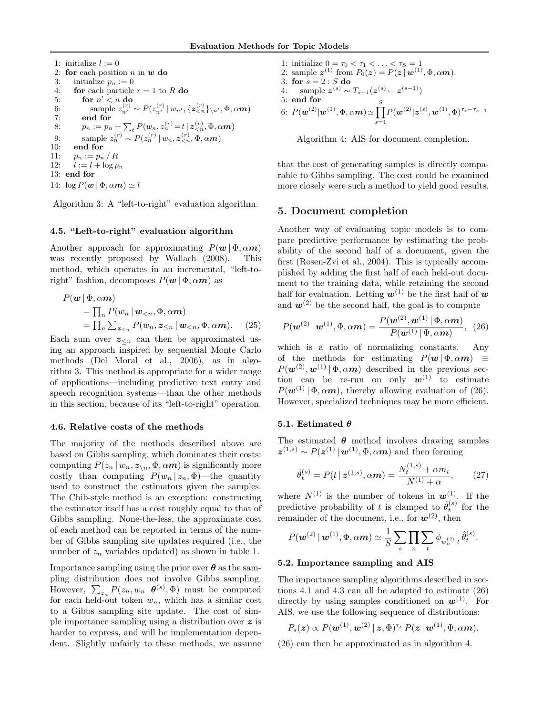1: initialize 
$$
l := 0
$$
  
\n2: **for** each position *n* in **w do**  
\n3: initialize  $p_n := 0$   
\n4: **for** each particle  $r = 1$  to *R* **do**  
\n5: **for**  $n' < n$  **do**  
\n6: sample  $z_n^{(r)} \sim P(z_n^{(r)} | w_{n'}, \{z_{  
\n7: **end for**  
\n8:  $p_n := p_n + \sum_t P(w_n, z_n^{(r)} = t | z_{  
\n9: sample  $z_n^{(r)} \sim P(z_n^{(r)} | w_n, z_{  
\n10: **end for**  
\n11:  $p_n := p_n / R$   
\n12:  $l := l + \log p_n$   
\n13: **end for**  
\n14:  $\log P(w | \Phi, \alpha m) \simeq l$$$$ 

Algorithm 3: A "left-to-right" evaluation algorithm.

#### 4.5. "Left-to-right" evaluation algorithm

Another approach for approximating  $P(\boldsymbol{w} | \boldsymbol{\Phi}, \alpha \boldsymbol{m})$ was recently proposed by Wallach (2008). This method, which operates in an incremental, "left-toright" fashion, decomposes  $P(w | \Phi, \alpha m)$  as

$$
P(\mathbf{w} | \Phi, \alpha \mathbf{m})
$$
  
=  $\prod_n P(w_n | \mathbf{w}_{\le n}, \Phi, \alpha \mathbf{m})$   
=  $\prod_n \sum_{\mathbf{z}_{\le n}} P(w_n, \mathbf{z}_{\le n} | \mathbf{w}_{\le n}, \Phi, \alpha \mathbf{m})$ . (25)

Each sum over  $z_{\leq n}$  can then be approximated using an approach inspired by sequential Monte Carlo methods (Del Moral et al., 2006), as in algorithm 3. This method is appropriate for a wider range of applications—including predictive text entry and speech recognition systems—than the other methods in this section, because of its "left-to-right" operation.

## 4.6. Relative costs of the methods

The majority of the methods described above are based on Gibbs sampling, which dominates their costs: computing  $P(z_n | w_n, z_{\n} \Phi, \alpha m)$  is significantly more costly than computing  $P(w_n | z_n, \Phi)$ —the quantity used to construct the estimators given the samples. The Chib-style method is an exception: constructing the estimator itself has a cost roughly equal to that of Gibbs sampling. None-the-less, the approximate cost of each method can be reported in terms of the number of Gibbs sampling site updates required (i.e., the number of  $z_n$  variables updated) as shown in table 1.

Importance sampling using the prior over  $\theta$  as the sampling distribution does not involve Gibbs sampling. However,  $\sum_{z_n} P(z_n, w_n | \boldsymbol{\theta}^{(s)}, \Phi)$  must be computed for each held-out token  $w_n$ , which has a similar cost to a Gibbs sampling site update. The cost of simple importance sampling using a distribution over z is harder to express, and will be implementation dependent. Slightly unfairly to these methods, we assume

1: initialize  $0 = \tau_0 < \tau_1 < \ldots < \tau_S = 1$ 2: sample  $\boldsymbol{z}^{(1)}$  from  $P_0(\boldsymbol{z}) = P(\boldsymbol{z} | \boldsymbol{w}^{(1)}, \Phi, \alpha \boldsymbol{m}).$ 3: for  $s = 2 : S$  do 4: sample  $z^{(s)} \sim T_{s-1}(z^{(s)} \leftarrow z^{(s-1)})$ 5: end for 6:  $P(\mathbf{w}^{(2)} | \mathbf{w}^{(1)}, \Phi, \alpha \mathbf{m}) \simeq \prod^S$  $s=1$  $P(\bm{w}^{(2)} | \bm{z}^{(s)}, \bm{w}^{(1)}, \Phi)^{\tau_s-\tau_{s-1}}$ 

Algorithm 4: AIS for document completion.

that the cost of generating samples is directly comparable to Gibbs sampling. The cost could be examined more closely were such a method to yield good results.

# 5. Document completion

Another way of evaluating topic models is to compare predictive performance by estimating the probability of the second half of a document, given the first (Rosen-Zvi et al., 2004). This is typically accomplished by adding the first half of each held-out document to the training data, while retaining the second half for evaluation. Letting  $w^{(1)}$  be the first half of w and  $w^{(2)}$  be the second half, the goal is to compute

$$
P(\mathbf{w}^{(2)} | \mathbf{w}^{(1)}, \Phi, \alpha \mathbf{m}) = \frac{P(\mathbf{w}^{(2)}, \mathbf{w}^{(1)} | \Phi, \alpha \mathbf{m})}{P(\mathbf{w}^{(1)} | \Phi, \alpha \mathbf{m})}, (26)
$$

which is a ratio of normalizing constants. Any of the methods for estimating  $P(w | \Phi, \alpha m) \equiv$  $P(\mathbf{w}^{(2)}, \mathbf{w}^{(1)} | \Phi, \alpha m)$  described in the previous section can be re-run on only  $w^{(1)}$  to estimate  $P(\mathbf{w}^{(1)} | \Phi, \alpha \mathbf{m})$ , thereby allowing evaluation of (26). However, specialized techniques may be more efficient.

#### 5.1. Estimated  $\theta$

The estimated  $\theta$  method involves drawing samples  $\boldsymbol{z}^{(1,s)} \sim P(\boldsymbol{z}^{(1)} | \boldsymbol{w}^{(1)}, \Phi, \alpha m)$  and then forming

$$
\hat{\theta}_t^{(s)} = P(t \,|\, \mathbf{z}^{(1,s)}, \alpha \boldsymbol{m}) = \frac{N_t^{(1,s)} + \alpha m_t}{N^{(1)} + \alpha},\qquad(27)
$$

where  $N^{(1)}$  is the number of tokens in  $\mathbf{w}^{(1)}$ . If the predictive probability of t is clamped to  $\hat{\theta}_t^{(s)}$  for the remainder of the document, i.e., for  $w^{(2)}$ , then

$$
P(\boldsymbol{w}^{(2)}\,|\,\boldsymbol{w}^{(1)},\Phi,\alpha\boldsymbol{m})\simeq\frac{1}{S}\sum_{s}\prod_{n}\sum_{t}\phi_{w_{n}^{(2)}|t}\,\hat{\theta}_{t}^{(s)}.
$$

#### 5.2. Importance sampling and AIS

The importance sampling algorithms described in sections 4.1 and 4.3 can all be adapted to estimate (26) directly by using samples conditioned on  $w^{(1)}$ . For AIS, we use the following sequence of distributions:

$$
P_s(\boldsymbol{z}) \propto P(\boldsymbol{w}^{(1)}, \boldsymbol{w}^{(2)} \,|\, \boldsymbol{z}, \boldsymbol{\Phi})^{\tau_s} \, P(\boldsymbol{z} \,|\, \boldsymbol{w}^{(1)}, \boldsymbol{\Phi}, \alpha \boldsymbol{m}).
$$

(26) can then be approximated as in algorithm 4.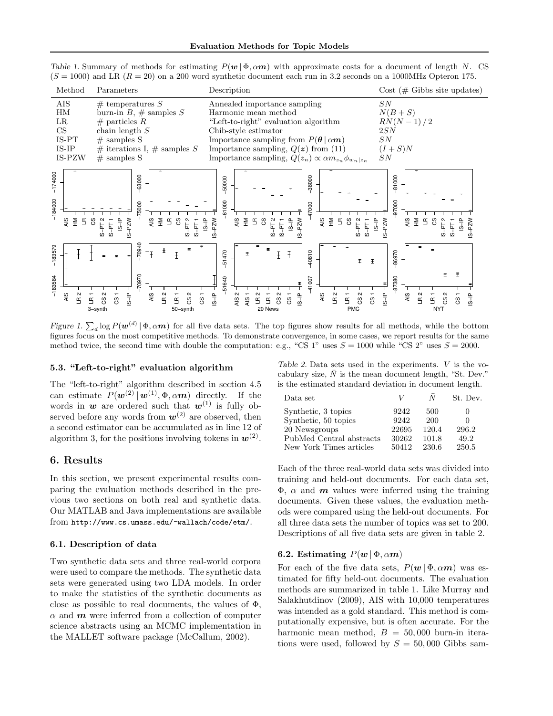Table 1. Summary of methods for estimating  $P(w | \Phi, \alpha m)$  with approximate costs for a document of length N. CS  $(S = 1000)$  and LR  $(R = 20)$  on a 200 word synthetic document each run in 3.2 seconds on a 1000MHz Opteron 175.

| Method               | Parameters                                                            | Description                                                                                                                      | $Cost \, (\# \, Gibbs\,site\, updates)$ |
|----------------------|-----------------------------------------------------------------------|----------------------------------------------------------------------------------------------------------------------------------|-----------------------------------------|
| AIS                  | # temperatures $S$                                                    | Annealed importance sampling                                                                                                     | SN                                      |
| HM                   | burn-in $B, \#$ samples S                                             | Harmonic mean method                                                                                                             | $N(B+S)$                                |
| $_{LR}$              | $#$ particles R                                                       | "Left-to-right" evaluation algorithm                                                                                             | $RN(N-1)/2$                             |
| <b>CS</b>            | chain length $S$                                                      | Chib-style estimator                                                                                                             | 2SN                                     |
| IS-PT                | $#$ samples S                                                         | Importance sampling from $P(\theta   \alpha m)$                                                                                  | SN                                      |
| $IS-IP$              | # iterations I, # samples S                                           | Importance sampling, $Q(z)$ from (11)                                                                                            | $(I + S)N$                              |
| IS-PZW               | $#$ samples S                                                         | Importance sampling, $Q(z_n) \propto \alpha m_{z_n} \phi_{w_n z_n}$                                                              | SN                                      |
| 174000               | 63000                                                                 | 38000<br>50000<br>000                                                                                                            | 81000                                   |
| 184000<br>4is<br>로 군 | 5000<br>$\frac{6}{5}$ $\frac{5}{5}$ $\frac{6}{5}$ $\frac{6}{5}$<br>°3 | 47000<br>ᇮ<br>$\frac{6}{5}$ $\frac{5}{5}$ $\frac{6}{5}$ $\frac{6}{5}$<br>$\frac{6}{5}$ $\frac{5}{5}$ $\frac{6}{5}$ $\frac{6}{5}$ | 97000<br>9.553                          |

Figure 1.  $\sum_d \log P(\bm{w}^{(d)} | \Phi, \alpha \bm{m})$  for all five data sets. The top figures show results for all methods, while the bottom figures focus on the most competitive methods. To demonstrate convergence, in some cases, we report results for the same method twice, the second time with double the computation: e.g., "CS 1" uses  $S = 1000$  while "CS 2" uses  $S = 2000$ .

20 News

բ<br>2<br>հ CS 2 CS 1 IS-IP  $\frac{1}{15}$  = 007

−

−41007 −40810

AIS  $R<sub>2</sub>$  $\Xi^-$ CS 2 CS 1

− − −

− −

PMC

−

IS−IP<br>F<br>S⊤S1640

−51640 −51470

 $-51470$ 

− − − − − −

AIS 2 AIS 1

50−synth

L<br>CS 2<br>CS 2 CS 1

#### 5.3. "Left-to-right" evaluation algorithm

− − − − −

AIS LR 2

−70970 −70940

 $-70970$ 

The "left-to-right" algorithm described in section 4.5 can estimate  $P(\mathbf{w}^{(2)} | \mathbf{w}^{(1)}, \Phi, \alpha m)$  directly. If the words in  $w$  are ordered such that  $w^{(1)}$  is fully observed before any words from  $w^{(2)}$  are observed, then a second estimator can be accumulated as in line 12 of algorithm 3, for the positions involving tokens in  $w^{(2)}$ .

## 6. Results

−

AIS  $R<sub>2</sub>$ 

−183584 −183579

 $-183584$ 

 $-18357$ 

− −

− − −

3−synth

L<br>CS 2<br>CS 2 CS 1 IS−IP

In this section, we present experimental results comparing the evaluation methods described in the previous two sections on both real and synthetic data. Our MATLAB and Java implementations are available from http://www.cs.umass.edu/~wallach/code/etm/.

### 6.1. Description of data

Two synthetic data sets and three real-world corpora were used to compare the methods. The synthetic data sets were generated using two LDA models. In order to make the statistics of the synthetic documents as close as possible to real documents, the values of  $\Phi$ ,  $\alpha$  and  $\boldsymbol{m}$  were inferred from a collection of computer science abstracts using an MCMC implementation in the MALLET software package (McCallum, 2002).

Table 2. Data sets used in the experiments. V is the vocabulary size,  $\overline{N}$  is the mean document length, "St. Dev." is the estimated standard deviation in document length.

−

IS-IP  $\frac{1+}{1+}$  -97380

−87380 −86970

 $-86970$ 

AIS LR 2  $\overline{R}$ CS 2  $\overset{.}{\text{S}}$ IS−IP

− −

−

NYT

− −

−

| Data set                 | V     |       | St. Dev. |
|--------------------------|-------|-------|----------|
| Synthetic, 3 topics      | 9242  | 500   |          |
| Synthetic, 50 topics     | 9242  | 200   |          |
| 20 Newsgroups            | 22695 | 120.4 | 296.2    |
| PubMed Central abstracts | 30262 | 101.8 | 49.2     |
| New York Times articles  | 50412 | 230.6 | 250.5    |

Each of the three real-world data sets was divided into training and held-out documents. For each data set,  $\Phi$ ,  $\alpha$  and  $\boldsymbol{m}$  values were inferred using the training documents. Given these values, the evaluation methods were compared using the held-out documents. For all three data sets the number of topics was set to 200. Descriptions of all five data sets are given in table 2.

# 6.2. Estimating  $P(w | \Phi, \alpha m)$

For each of the five data sets,  $P(w | \Phi, \alpha m)$  was estimated for fifty held-out documents. The evaluation methods are summarized in table 1. Like Murray and Salakhutdinov (2009), AIS with 10,000 temperatures was intended as a gold standard. This method is computationally expensive, but is often accurate. For the harmonic mean method,  $B = 50,000$  burn-in iterations were used, followed by  $S = 50,000$  Gibbs sam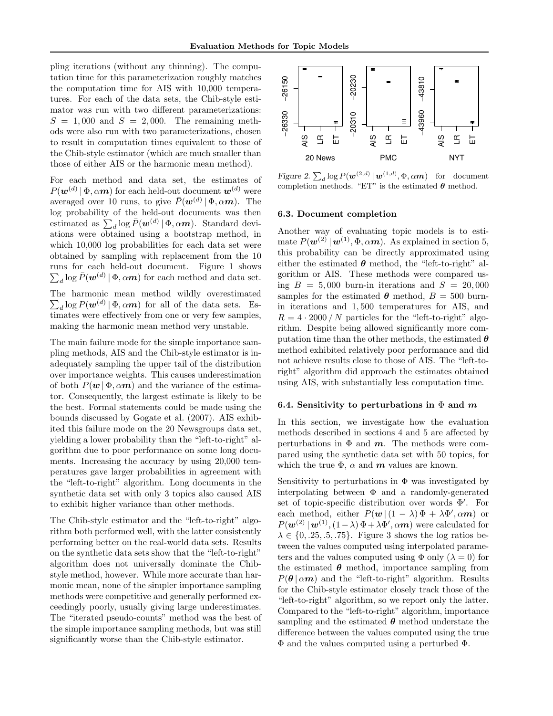pling iterations (without any thinning). The computation time for this parameterization roughly matches the computation time for AIS with 10,000 temperatures. For each of the data sets, the Chib-style estimator was run with two different parameterizations:  $S = 1,000$  and  $S = 2,000$ . The remaining methods were also run with two parameterizations, chosen to result in computation times equivalent to those of the Chib-style estimator (which are much smaller than those of either AIS or the harmonic mean method).

For each method and data set, the estimates of  $P(\boldsymbol{w}^{(d)} | \Phi, \alpha m)$  for each held-out document  $\boldsymbol{w}^{(d)}$  were averaged over 10 runs, to give  $\bar{P}(\boldsymbol{w}^{(d)} | \Phi, \alpha \boldsymbol{m})$ . The log probability of the held-out documents was then estimated as  $\sum_{d} \log \bar{P}(\boldsymbol{w}^{(d)} | \Phi, \alpha m)$ . Standard deviations were obtained using a bootstrap method, in which 10,000 log probabilities for each data set were obtained by sampling with replacement from the 10 runs for each held-out document. Figure 1 shows  $\sum_d \log \bar{P}(\boldsymbol{w}^{(d)}\,|\, \Phi,\alpha\boldsymbol{m})$  for each method and data set.

The harmonic mean method wildly overestimated  $\sum_{d} \log P(\boldsymbol{w}^{(d)} | \boldsymbol{\Phi}, \alpha \boldsymbol{m})$  for all of the data sets. Estimates were effectively from one or very few samples, making the harmonic mean method very unstable.

The main failure mode for the simple importance sampling methods, AIS and the Chib-style estimator is inadequately sampling the upper tail of the distribution over importance weights. This causes underestimation of both  $P(w | \Phi, \alpha m)$  and the variance of the estimator. Consequently, the largest estimate is likely to be the best. Formal statements could be made using the bounds discussed by Gogate et al. (2007). AIS exhibited this failure mode on the 20 Newsgroups data set, yielding a lower probability than the "left-to-right" algorithm due to poor performance on some long documents. Increasing the accuracy by using 20,000 temperatures gave larger probabilities in agreement with the "left-to-right" algorithm. Long documents in the synthetic data set with only 3 topics also caused AIS to exhibit higher variance than other methods.

The Chib-style estimator and the "left-to-right" algorithm both performed well, with the latter consistently performing better on the real-world data sets. Results on the synthetic data sets show that the "left-to-right" algorithm does not universally dominate the Chibstyle method, however. While more accurate than harmonic mean, none of the simpler importance sampling methods were competitive and generally performed exceedingly poorly, usually giving large underestimates. The "iterated pseudo-counts" method was the best of the simple importance sampling methods, but was still significantly worse than the Chib-style estimator.



Figure 2.  $\sum_{d} \log P(\boldsymbol{w}^{(2,d)} | \boldsymbol{w}^{(1,d)}, \Phi, \alpha m)$  for document completion methods. "ET" is the estimated  $\theta$  method.

#### 6.3. Document completion

Another way of evaluating topic models is to estimate  $P(\mathbf{w}^{(2)} | \mathbf{w}^{(1)}, \Phi, \alpha m)$ . As explained in section 5, this probability can be directly approximated using either the estimated  $\theta$  method, the "left-to-right" algorithm or AIS. These methods were compared using  $B = 5,000$  burn-in iterations and  $S = 20,000$ samples for the estimated  $\theta$  method,  $B = 500$  burnin iterations and 1, 500 temperatures for AIS, and  $R = 4 \cdot 2000 / N$  particles for the "left-to-right" algorithm. Despite being allowed significantly more computation time than the other methods, the estimated  $\boldsymbol{\theta}$ method exhibited relatively poor performance and did not achieve results close to those of AIS. The "left-toright" algorithm did approach the estimates obtained using AIS, with substantially less computation time.

#### 6.4. Sensitivity to perturbations in  $\Phi$  and m

In this section, we investigate how the evaluation methods described in sections 4 and 5 are affected by perturbations in  $\Phi$  and  $m$ . The methods were compared using the synthetic data set with 50 topics, for which the true  $\Phi$ ,  $\alpha$  and  $\boldsymbol{m}$  values are known.

Sensitivity to perturbations in  $\Phi$  was investigated by interpolating between  $\Phi$  and a randomly-generated set of topic-specific distribution over words  $\Phi'$ . For each method, either  $P(w | (1 - \lambda) \Phi + \lambda \Phi', \alpha m)$  or  $P(\mathbf{w}^{(2)} | \mathbf{w}^{(1)}, (1-\lambda) \Phi + \lambda \Phi', \alpha m)$  were calculated for  $\lambda \in \{0, .25, .5, .75\}$ . Figure 3 shows the log ratios between the values computed using interpolated parameters and the values computed using  $\Phi$  only  $(\lambda = 0)$  for the estimated  $\theta$  method, importance sampling from  $P(\theta | \alpha m)$  and the "left-to-right" algorithm. Results for the Chib-style estimator closely track those of the "left-to-right" algorithm, so we report only the latter. Compared to the "left-to-right" algorithm, importance sampling and the estimated  $\theta$  method understate the difference between the values computed using the true Φ and the values computed using a perturbed Φ.